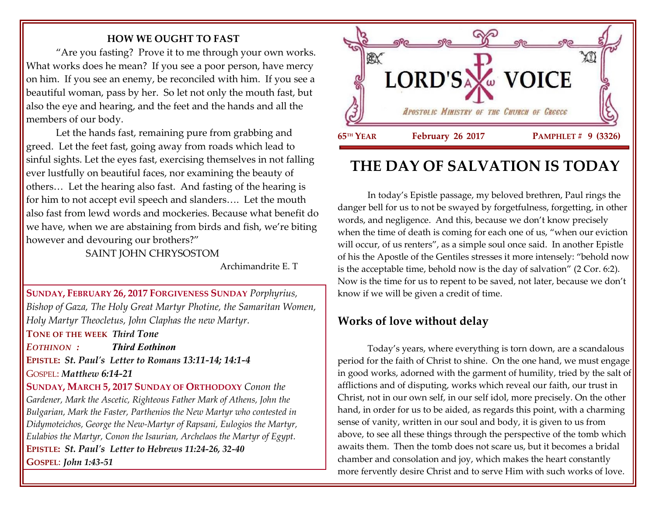### **HOW WE OUGHT TO FAST**

"Are you fasting? Prove it to me through your own works. What works does he mean? If you see a poor person, have mercy on him. If you see an enemy, be reconciled with him. If you see a beautiful woman, pass by her. So let not only the mouth fast, but also the eye and hearing, and the feet and the hands and all the members of our body.

Let the hands fast, remaining pure from grabbing and greed. Let the feet fast, going away from roads which lead to sinful sights. Let the eyes fast, exercising themselves in not falling ever lustfully on beautiful faces, nor examining the beauty of others… Let the hearing also fast. And fasting of the hearing is for him to not accept evil speech and slanders…. Let the mouth also fast from lewd words and mockeries. Because what benefit do we have, when we are abstaining from birds and fish, we're biting however and devouring our brothers?"

SAINT JOHN CHRYSOSTOM

Archimandrite E. T

**SUNDAY, FEBRUARY 26, 2017 FORGIVENESS SUNDAY** *Porphyrius, Bishop of Gaza, The Holy Great Martyr Photine, the Samaritan Women, Holy Martyr Theocletus, John Claphas the new Martyr.*

**TONE OF THE WEEK** *Third Tone*

*EOTHINON : Third Eothinon*

**EPISTLE:** *St. Paul's Letter to Romans 13:11-14; 14:1-4*

GOSPEL: *Matthew 6:14-21*

**SUNDAY, MARCH 5, 2017 SUNDAY OF ORTHODOXY** *Conon the Gardener, Mark the Ascetic, Righteous Father Mark of Athens, John the Bulgarian, Mark the Faster, Parthenios the New Martyr who contested in Didymoteichos, George the New-Martyr of Rapsani, Eulogios the Martyr, Eulabios the Martyr, Conon the Isaurian, Archelaos the Martyr of Egypt.* **EPISTLE:** *St. Paul's Letter to Hebrews 11:24-26, 32-40* **GOSPEL**: *John 1:43-51*



# **THE DAY OF SALVATION IS TODAY**

In today's Epistle passage, my beloved brethren, Paul rings the danger bell for us to not be swayed by forgetfulness, forgetting, in other words, and negligence. And this, because we don't know precisely when the time of death is coming for each one of us, "when our eviction will occur, of us renters", as a simple soul once said. In another Epistle of his the Apostle of the Gentiles stresses it more intensely: "behold now is the acceptable time, behold now is the day of salvation" (2 Cor. 6:2). Now is the time for us to repent to be saved, not later, because we don't know if we will be given a credit of time.

## **Works of love without delay**

Today's years, where everything is torn down, are a scandalous period for the faith of Christ to shine. On the one hand, we must engage in good works, adorned with the garment of humility, tried by the salt of afflictions and of disputing, works which reveal our faith, our trust in Christ, not in our own self, in our self idol, more precisely. On the other hand, in order for us to be aided, as regards this point, with a charming sense of vanity, written in our soul and body, it is given to us from above, to see all these things through the perspective of the tomb which awaits them. Then the tomb does not scare us, but it becomes a bridal chamber and consolation and joy, which makes the heart constantly more fervently desire Christ and to serve Him with such works of love.